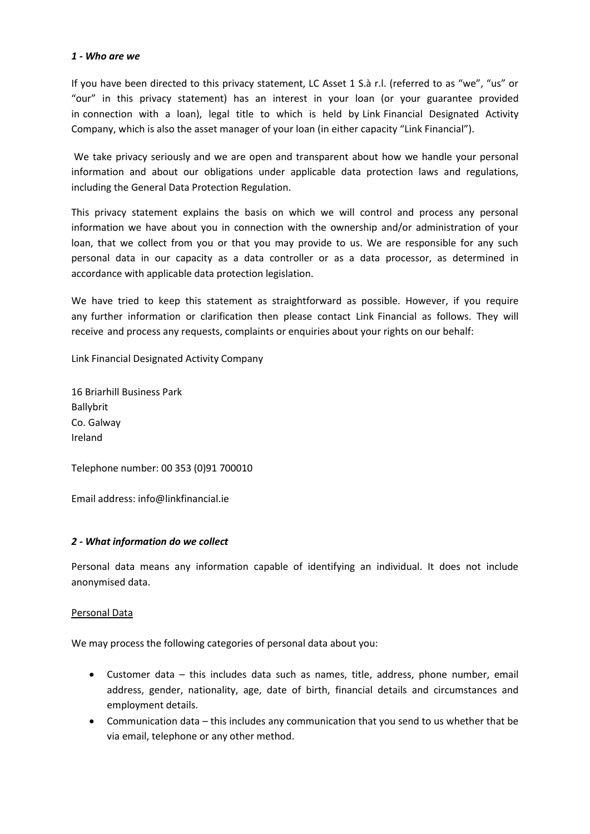### *1 - Who are we*

If you have been directed to this privacy statement, LC Asset 1 S.à r.l. (referred to as "we", "us" or "our" in this privacy statement) has an interest in your loan (or your guarantee provided in connection with a loan), legal title to which is held by Link Financial Designated Activity Company, which is also the asset manager of your loan (in either capacity "Link Financial").

 We take privacy seriously and we are open and transparent about how we handle your personal information and about our obligations under applicable data protection laws and regulations, including the General Data Protection Regulation.

This privacy statement explains the basis on which we will control and process any personal information we have about you in connection with the ownership and/or administration of your loan, that we collect from you or that you may provide to us. We are responsible for any such personal data in our capacity as a data controller or as a data processor, as determined in accordance with applicable data protection legislation.

We have tried to keep this statement as straightforward as possible. However, if you require any further information or clarification then please contact Link Financial as follows. They will receive and process any requests, complaints or enquiries about your rights on our behalf:

Link Financial Designated Activity Company

16 Briarhill Business Park Ballybrit Co. Galway Ireland

Telephone number: 00 353 (0)91 700010

Email address: info@linkfinancial.ie

### *2 - What information do we collect*

Personal data means any information capable of identifying an individual. It does not include anonymised data.

### Personal Data

We may process the following categories of personal data about you:

- Customer data this includes data such as names, title, address, phone number, email address, gender, nationality, age, date of birth, financial details and circumstances and employment details.
- Communication data this includes any communication that you send to us whether that be via email, telephone or any other method.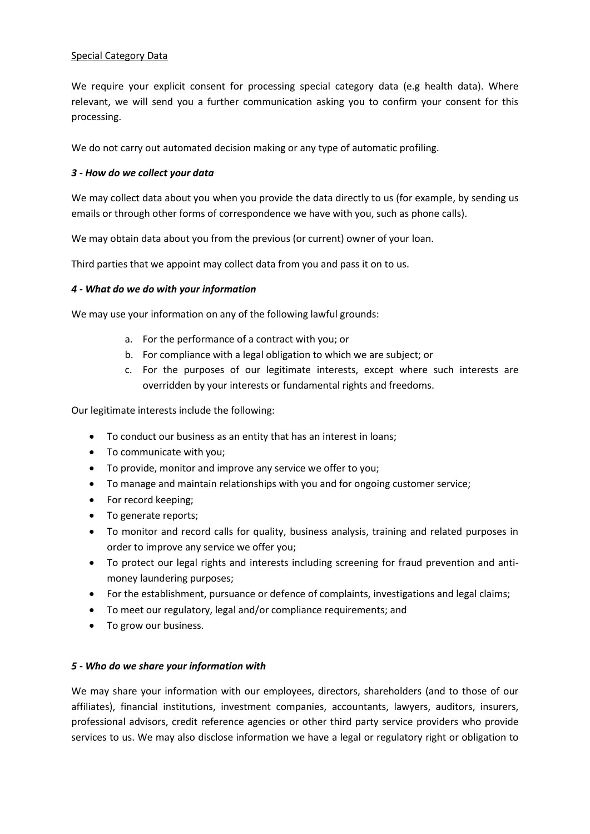### Special Category Data

We require your explicit consent for processing special category data (e.g health data). Where relevant, we will send you a further communication asking you to confirm your consent for this processing.

We do not carry out automated decision making or any type of automatic profiling.

# *3 - How do we collect your data*

We may collect data about you when you provide the data directly to us (for example, by sending us emails or through other forms of correspondence we have with you, such as phone calls).

We may obtain data about you from the previous (or current) owner of your loan.

Third parties that we appoint may collect data from you and pass it on to us.

### *4 - What do we do with your information*

We may use your information on any of the following lawful grounds:

- a. For the performance of a contract with you; or
- b. For compliance with a legal obligation to which we are subject; or
- c. For the purposes of our legitimate interests, except where such interests are overridden by your interests or fundamental rights and freedoms.

Our legitimate interests include the following:

- To conduct our business as an entity that has an interest in loans;
- To communicate with you;
- To provide, monitor and improve any service we offer to you;
- To manage and maintain relationships with you and for ongoing customer service;
- For record keeping;
- To generate reports;
- To monitor and record calls for quality, business analysis, training and related purposes in order to improve any service we offer you;
- To protect our legal rights and interests including screening for fraud prevention and antimoney laundering purposes;
- For the establishment, pursuance or defence of complaints, investigations and legal claims;
- To meet our regulatory, legal and/or compliance requirements; and
- To grow our business.

### *5 - Who do we share your information with*

We may share your information with our employees, directors, shareholders (and to those of our affiliates), financial institutions, investment companies, accountants, lawyers, auditors, insurers, professional advisors, credit reference agencies or other third party service providers who provide services to us. We may also disclose information we have a legal or regulatory right or obligation to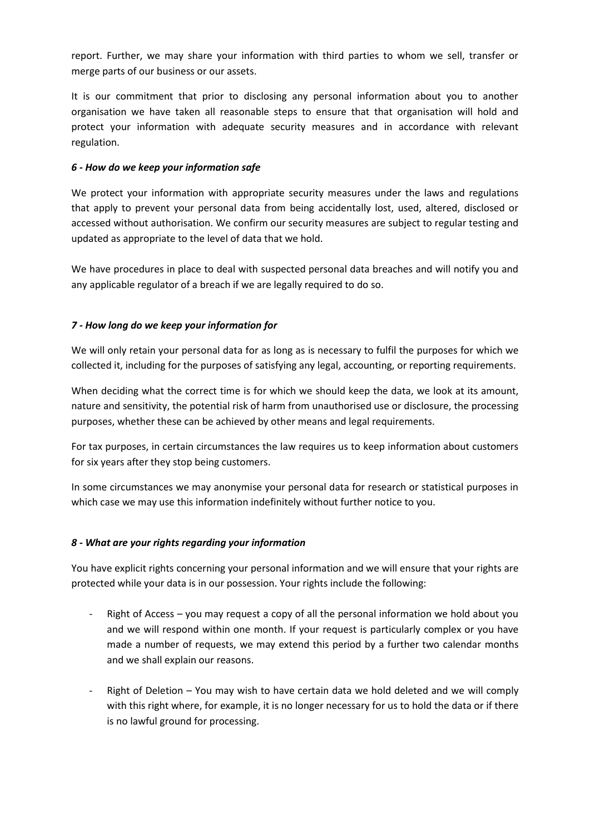report. Further, we may share your information with third parties to whom we sell, transfer or merge parts of our business or our assets.

It is our commitment that prior to disclosing any personal information about you to another organisation we have taken all reasonable steps to ensure that that organisation will hold and protect your information with adequate security measures and in accordance with relevant regulation.

### *6 - How do we keep your information safe*

We protect your information with appropriate security measures under the laws and regulations that apply to prevent your personal data from being accidentally lost, used, altered, disclosed or accessed without authorisation. We confirm our security measures are subject to regular testing and updated as appropriate to the level of data that we hold.

We have procedures in place to deal with suspected personal data breaches and will notify you and any applicable regulator of a breach if we are legally required to do so.

# *7 - How long do we keep your information for*

We will only retain your personal data for as long as is necessary to fulfil the purposes for which we collected it, including for the purposes of satisfying any legal, accounting, or reporting requirements.

When deciding what the correct time is for which we should keep the data, we look at its amount, nature and sensitivity, the potential risk of harm from unauthorised use or disclosure, the processing purposes, whether these can be achieved by other means and legal requirements.

For tax purposes, in certain circumstances the law requires us to keep information about customers for six years after they stop being customers.

In some circumstances we may anonymise your personal data for research or statistical purposes in which case we may use this information indefinitely without further notice to you.

### *8 - What are your rights regarding your information*

You have explicit rights concerning your personal information and we will ensure that your rights are protected while your data is in our possession. Your rights include the following:

- Right of Access you may request a copy of all the personal information we hold about you and we will respond within one month. If your request is particularly complex or you have made a number of requests, we may extend this period by a further two calendar months and we shall explain our reasons.
- Right of Deletion You may wish to have certain data we hold deleted and we will comply with this right where, for example, it is no longer necessary for us to hold the data or if there is no lawful ground for processing.